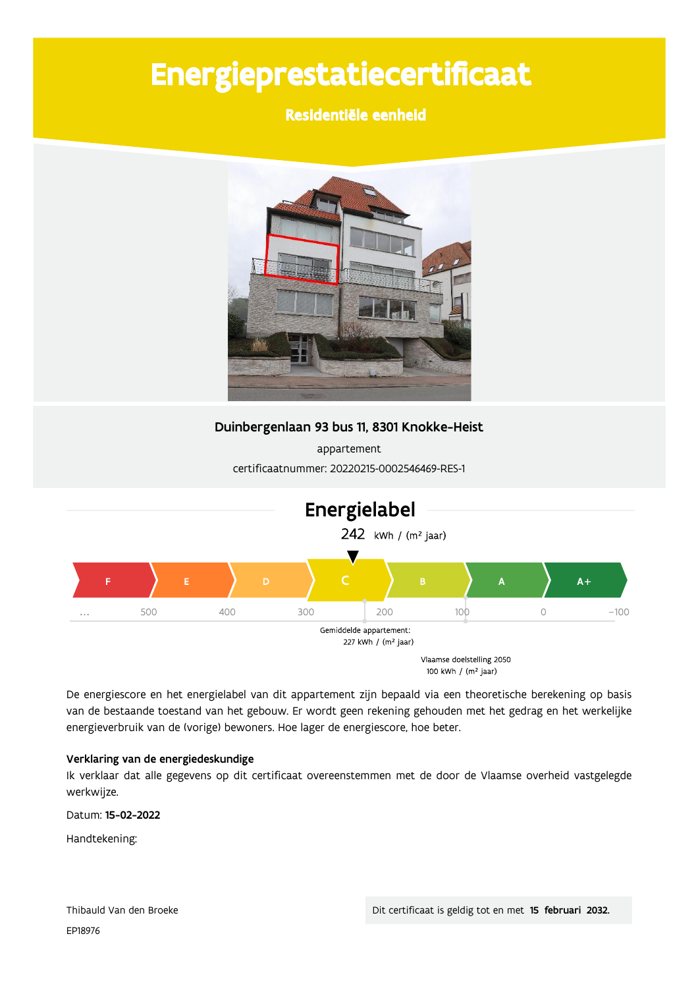# Energieprestatiecertificaat

## Residentiële eenheid



Duinbergenlaan 93 bus 11, 8301 Knokke-Heist

appartement certificaatnummer: 20220215-0002546469-RES-1



De energiescore en het energielabel van dit appartement zijn bepaald via een theoretische berekening op basis van de bestaande toestand van het gebouw. Er wordt geen rekening gehouden met het gedrag en het werkelijke energieverbruik van de (vorige) bewoners. Hoe lager de energiescore, hoe beter.

### Verklaring van de energiedeskundige

Ik verklaar dat alle gegevens op dit certificaat overeenstemmen met de door de Vlaamse overheid vastgelegde werkwijze.

Datum: 15-02-2022

Handtekening: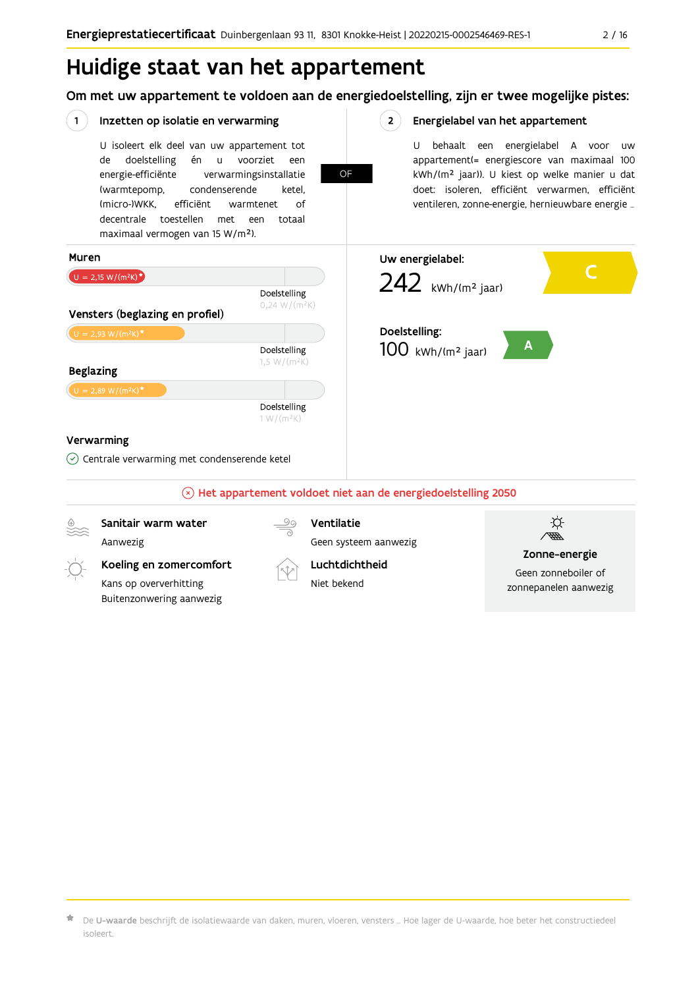## Huidige staat van het appartement

Om met uw appartement te voldoen aan de energiedoelstelling, zijn er twee mogelijke pistes:



 $\star$  De **U-waarde** beschrijft de isolatiewaarde van daken, muren, vloeren, vensters … Hoe lager de U-waarde, hoe beter het constructiedeel isoleert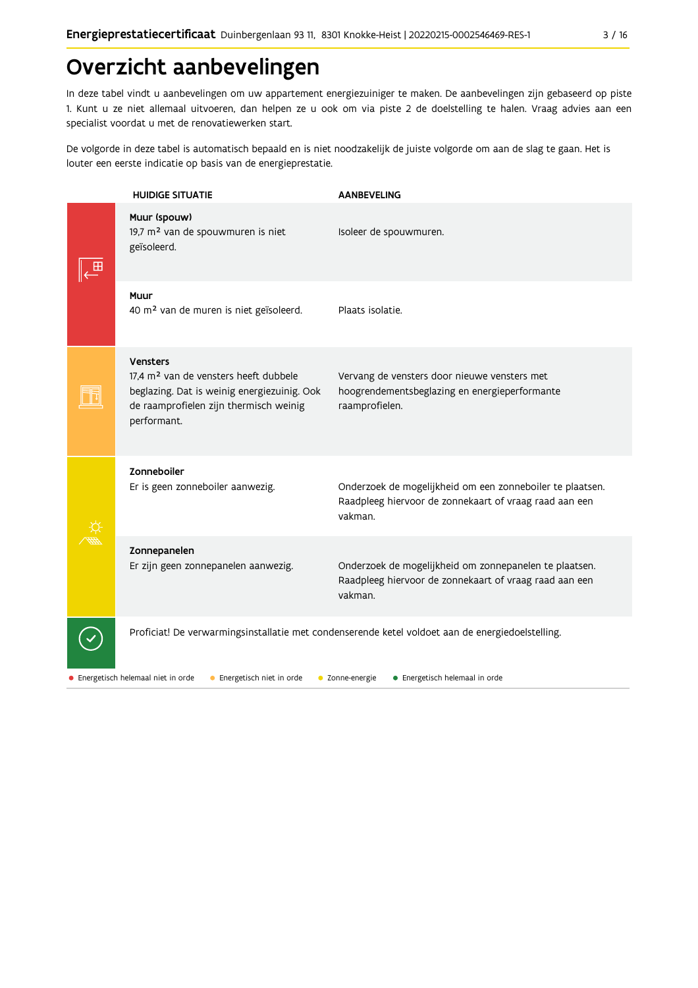## Overzicht aanbevelingen

In deze tabel vindt u aanbevelingen om uw appartement energiezuiniger te maken. De aanbevelingen zijn gebaseerd op piste 1. Kunt u ze niet allemaal uitvoeren, dan helpen ze u ook om via piste 2 de doelstelling te halen. Vraag advies aan een specialist voordat u met de renovatiewerken start.

De volgorde in deze tabel is automatisch bepaald en is niet noodzakelijk de juiste volgorde om aan de slag te gaan. Het is louter een eerste indicatie op basis van de energieprestatie.

|  | <b>HUIDIGE SITUATIE</b>                                                                                                                                               | <b>AANBEVELING</b>                                                                                                             |
|--|-----------------------------------------------------------------------------------------------------------------------------------------------------------------------|--------------------------------------------------------------------------------------------------------------------------------|
|  | Muur (spouw)<br>19,7 m <sup>2</sup> van de spouwmuren is niet<br>geïsoleerd.                                                                                          | Isoleer de spouwmuren.                                                                                                         |
|  | Muur<br>40 m <sup>2</sup> van de muren is niet geïsoleerd.                                                                                                            | Plaats isolatie.                                                                                                               |
|  | Vensters<br>17.4 m <sup>2</sup> van de vensters heeft dubbele<br>beglazing. Dat is weinig energiezuinig. Ook<br>de raamprofielen zijn thermisch weinig<br>performant. | Vervang de vensters door nieuwe vensters met<br>hoogrendementsbeglazing en energieperformante<br>raamprofielen.                |
|  | Zonneboiler<br>Er is geen zonneboiler aanwezig.                                                                                                                       | Onderzoek de mogelijkheid om een zonneboiler te plaatsen.<br>Raadpleeg hiervoor de zonnekaart of vraag raad aan een<br>vakman. |
|  | Zonnepanelen<br>Er zijn geen zonnepanelen aanwezig.                                                                                                                   | Onderzoek de mogelijkheid om zonnepanelen te plaatsen.<br>Raadpleeg hiervoor de zonnekaart of vraag raad aan een<br>vakman.    |
|  |                                                                                                                                                                       | Proficiat! De verwarmingsinstallatie met condenserende ketel voldoet aan de energiedoelstelling.                               |

· Energetisch helemaal niet in orde • Energetisch niet in orde • Zonne-energie · Energetisch helemaal in orde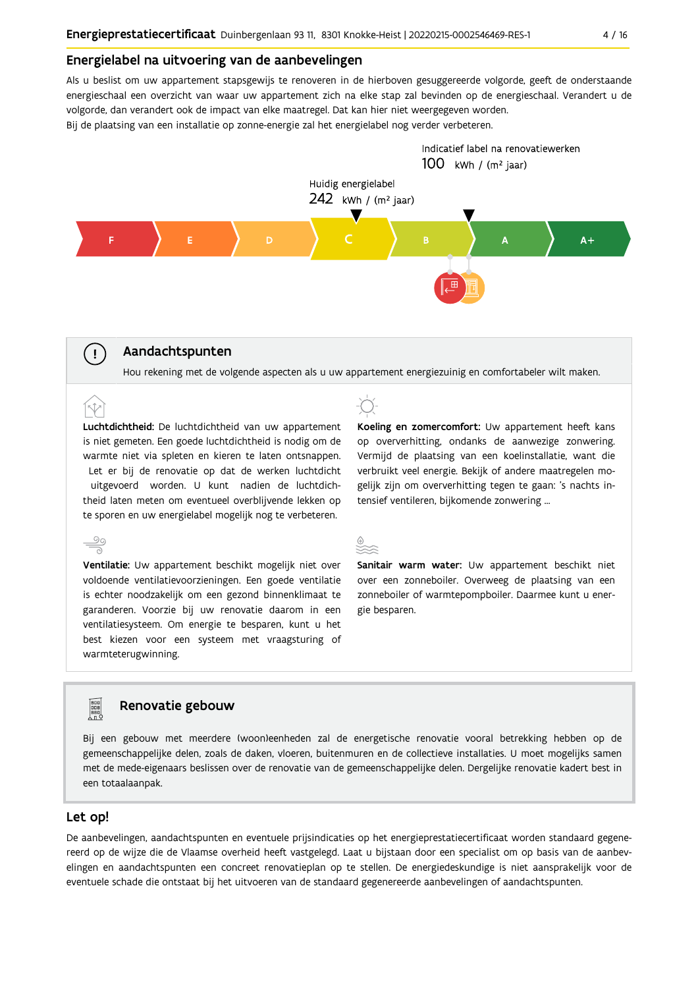#### Energielabel na uitvoering van de aanbevelingen

Als u beslist om uw appartement stapsgewijs te renoveren in de hierboven gesuggereerde volgorde, geeft de onderstaande energieschaal een overzicht van waar uw appartement zich na elke stap zal bevinden op de energieschaal. Verandert u de volgorde, dan verandert ook de impact van elke maatregel. Dat kan hier niet weergegeven worden.

Bij de plaatsing van een installatie op zonne-energie zal het energielabel nog verder verbeteren.



### Aandachtspunten

 $\left( \cdot \right)$ 

Hou rekening met de volgende aspecten als u uw appartement energiezuinig en comfortabeler wilt maken.

Luchtdichtheid: De luchtdichtheid van uw appartement is niet gemeten. Een goede luchtdichtheid is nodig om de warmte niet via spleten en kieren te laten ontsnappen. Let er bij de renovatie op dat de werken luchtdicht uitgevoerd worden. U kunt nadien de luchtdichtheid laten meten om eventueel overblijvende lekken op te sporen en uw energielabel mogelijk nog te verbeteren.

 $\frac{100}{\sqrt{10}}$ Ventilatie: Uw appartement beschikt mogelijk niet over voldoende ventilatievoorzieningen. Een goede ventilatie is echter noodzakelijk om een gezond binnenklimaat te garanderen. Voorzie bij uw renovatie daarom in een ventilatiesysteem. Om energie te besparen, kunt u het best kiezen voor een systeem met vraagsturing of warmteterugwinning.



Koeling en zomercomfort: Uw appartement heeft kans op oververhitting, ondanks de aanwezige zonwering. Vermijd de plaatsing van een koelinstallatie, want die verbruikt veel energie. Bekijk of andere maatregelen mogelijk zijn om oververhitting tegen te gaan: 's nachts intensief ventileren, bijkomende zonwering ...



Sanitair warm water: Uw appartement beschikt niet over een zonneboiler. Overweeg de plaatsing van een zonneboiler of warmtepompboiler. Daarmee kunt u energie besparen.

### Renovatie gebouw

Bij een gebouw met meerdere (woon)eenheden zal de energetische renovatie vooral betrekking hebben op de gemeenschappelijke delen, zoals de daken, vloeren, buitenmuren en de collectieve installaties. U moet mogelijks samen met de mede-eigenaars beslissen over de renovatie van de gemeenschappelijke delen. Dergelijke renovatie kadert best in een totaalaanpak.

#### Let op!

**FOR** 

De aanbevelingen, aandachtspunten en eventuele prijsindicaties op het energieprestatiecertificaat worden standaard gegenereerd op de wijze die de Vlaamse overheid heeft vastgelegd. Laat u bijstaan door een specialist om op basis van de aanbevelingen en aandachtspunten een concreet renovatieplan op te stellen. De energiedeskundige is niet aansprakelijk voor de eventuele schade die ontstaat bij het uitvoeren van de standaard gegenereerde aanbevelingen of aandachtspunten.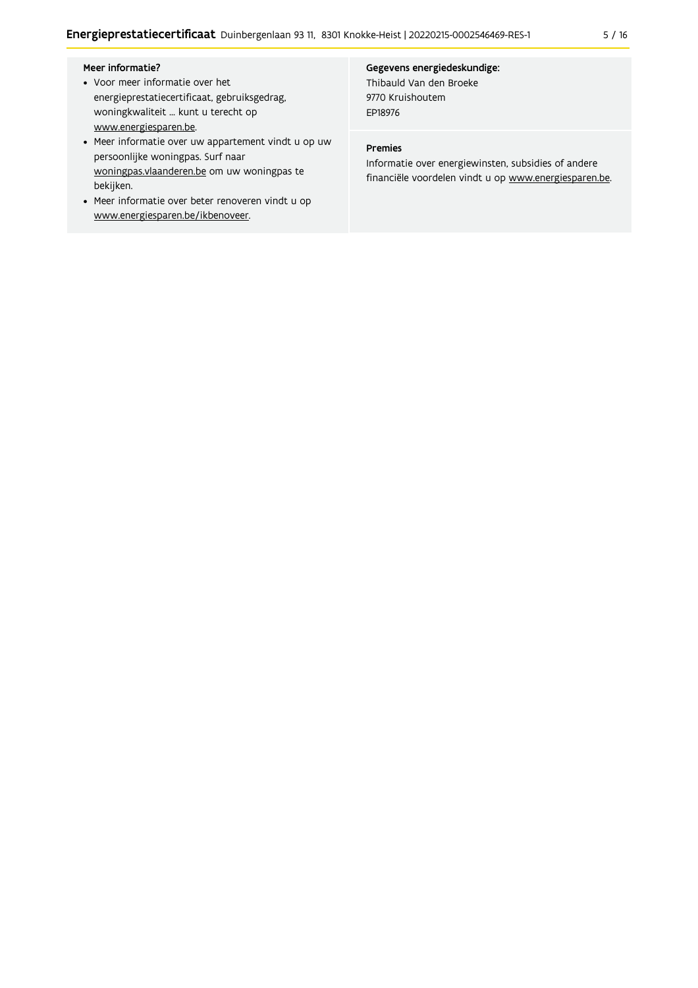#### Meer informatie?

- Voor meer informatie over het energieprestatiecertificaat, gebruiksgedrag, woningkwaliteit ... kunt u terecht op www.energiesparen.be.
- Meer informatie over uw appartement vindt u op uw persoonlijke woningpas. Surf naar woningpas.vlaanderen.be om uw woningpas te bekijken.
- Meer informatie over beter renoveren vindt u op www.energiesparen.be/ikbenoveer.

#### Gegevens energiedeskundige:

Thibauld Van den Broeke 9770 Kruishoutem EP18976

#### Premies

Informatie over energiewinsten, subsidies of andere financiële voordelen vindt u op www.energiesparen.be.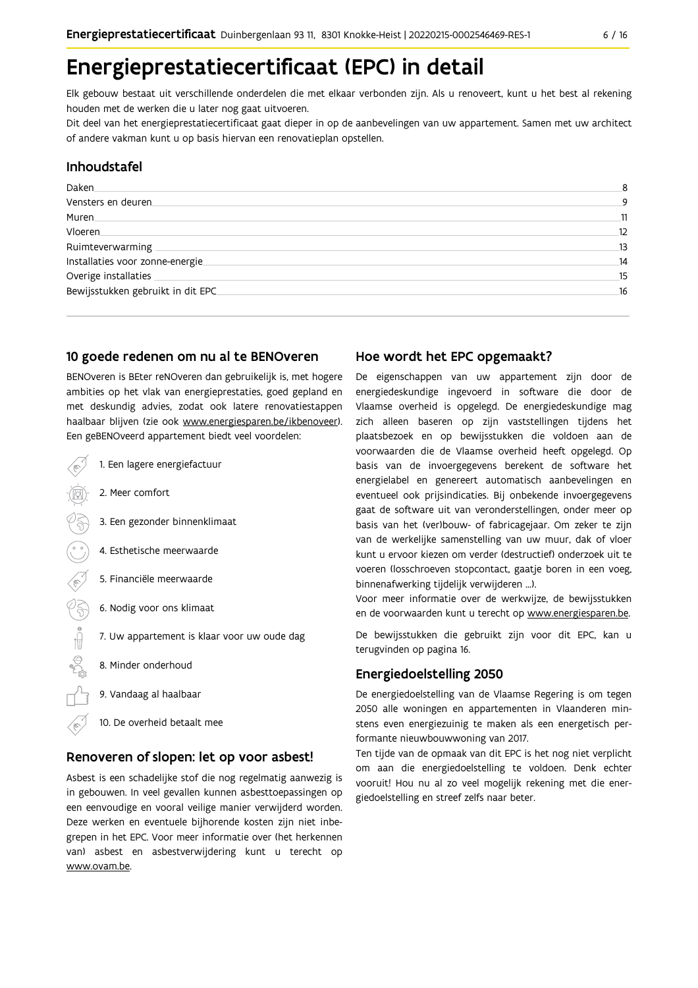## Energieprestatiecertificaat (EPC) in detail

Elk gebouw bestaat uit verschillende onderdelen die met elkaar verbonden zijn. Als u renoveert, kunt u het best al rekening houden met de werken die u later nog gaat uitvoeren.

Dit deel van het energieprestatiecertificaat gaat dieper in op de aanbevelingen van uw appartement. Samen met uw architect of andere vakman kunt u op basis hiervan een renovatieplan opstellen.

#### Inhoudstafel

| Daken.                             | 8  |
|------------------------------------|----|
| Vensters en deuren.                | 9  |
| Muren                              | 11 |
| Vloeren                            | 12 |
| Ruimteverwarming                   | 13 |
| Installaties voor zonne-energie.   | 14 |
| Overige installaties               | 15 |
| Bewijsstukken gebruikt in dit EPC. | 16 |
|                                    |    |

#### 10 goede redenen om nu al te BENOveren

BENOveren is BEter reNOveren dan gebruikelijk is, met hogere ambities op het vlak van energieprestaties, goed gepland en met deskundig advies, zodat ook latere renovatiestappen haalbaar blijven (zie ook www.energiesparen.be/ikbenoveer). Een geBENOveerd appartement biedt veel voordelen:

- 1. Een lagere energiefactuur 2. Meer comfort 3. Een gezonder binnenklimaat 4. Esthetische meerwaarde 5. Financiële meerwaarde  $\frac{1}{2}$ 6. Nodig voor ons klimaat 7. Uw appartement is klaar voor uw oude dag 8. Minder onderhoud 9. Vandaag al haalbaar
	- 10. De overheid betaalt mee

#### Renoveren of slopen: let op voor asbest!

Asbest is een schadelijke stof die nog regelmatig aanwezig is in gebouwen. In veel gevallen kunnen asbesttoepassingen op een eenvoudige en vooral veilige manier verwijderd worden. Deze werken en eventuele bijhorende kosten zijn niet inbegrepen in het EPC. Voor meer informatie over (het herkennen van) asbest en asbestverwijdering kunt u terecht op www.ovam.be.

#### Hoe wordt het EPC opgemaakt?

De eigenschappen van uw appartement zijn door de energiedeskundige ingevoerd in software die door de Vlaamse overheid is opgelegd. De energiedeskundige mag zich alleen baseren op zijn vaststellingen tijdens het plaatsbezoek en op bewijsstukken die voldoen aan de voorwaarden die de Vlaamse overheid heeft opgelegd. Op basis van de invoergegevens berekent de software het energielabel en genereert automatisch aanbevelingen en eventueel ook prijsindicaties. Bij onbekende invoergegevens gaat de software uit van veronderstellingen, onder meer op basis van het (ver)bouw- of fabricagejaar. Om zeker te zijn van de werkelijke samenstelling van uw muur, dak of vloer kunt u ervoor kiezen om verder (destructief) onderzoek uit te voeren (losschroeven stopcontact, gaatje boren in een voeg, binnenafwerking tijdelijk verwijderen ...).

Voor meer informatie over de werkwijze, de bewijsstukken en de voorwaarden kunt u terecht op www.energiesparen.be.

De bewijsstukken die gebruikt zijn voor dit EPC, kan u terugvinden op pagina 16.

#### **Energiedoelstelling 2050**

De energiedoelstelling van de Vlaamse Regering is om tegen 2050 alle woningen en appartementen in Vlaanderen minstens even energiezuinig te maken als een energetisch performante nieuwbouwwoning van 2017.

Ten tijde van de opmaak van dit EPC is het nog niet verplicht om aan die energiedoelstelling te voldoen. Denk echter vooruit! Hou nu al zo veel mogelijk rekening met die energiedoelstelling en streef zelfs naar beter.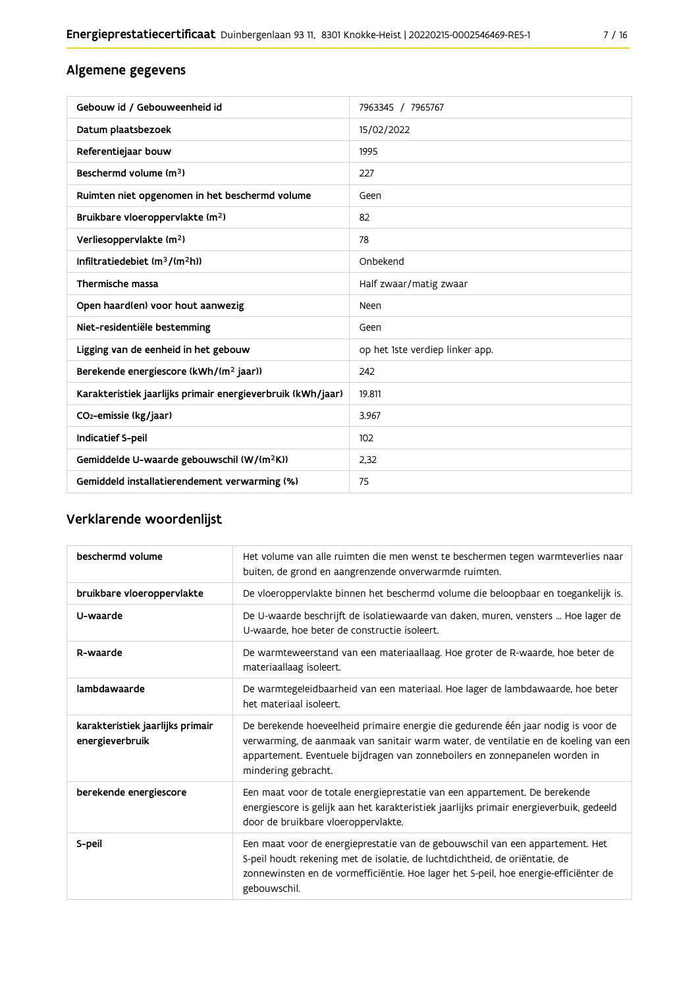## Algemene gegevens

| Gebouw id / Gebouweenheid id                                | 7963345 / 7965767               |
|-------------------------------------------------------------|---------------------------------|
| Datum plaatsbezoek                                          | 15/02/2022                      |
| Referentiejaar bouw                                         | 1995                            |
| Beschermd volume (m <sup>3</sup> )                          | 227                             |
| Ruimten niet opgenomen in het beschermd volume              | Geen                            |
| Bruikbare vloeroppervlakte (m <sup>2</sup> )                | 82                              |
| Verliesoppervlakte (m <sup>2</sup> )                        | 78                              |
| Infiltratiedebiet $(m^3/(m^2h))$                            | Onbekend                        |
| Thermische massa                                            | Half zwaar/matig zwaar          |
| Open haard(en) voor hout aanwezig                           | Neen                            |
| Niet-residentiële bestemming                                | Geen                            |
| Ligging van de eenheid in het gebouw                        | op het 1ste verdiep linker app. |
| Berekende energiescore (kWh/(m <sup>2</sup> jaar))          | 242                             |
| Karakteristiek jaarlijks primair energieverbruik (kWh/jaar) | 19.811                          |
| CO <sub>2</sub> -emissie (kg/jaar)                          | 3.967                           |
| Indicatief S-peil                                           | 102                             |
| Gemiddelde U-waarde gebouwschil (W/(m <sup>2</sup> K))      | 2,32                            |
| Gemiddeld installatierendement verwarming (%)               | 75                              |

## Verklarende woordenlijst

| beschermd volume                                    | Het volume van alle ruimten die men wenst te beschermen tegen warmteverlies naar<br>buiten, de grond en aangrenzende onverwarmde ruimten.                                                                                                                                      |
|-----------------------------------------------------|--------------------------------------------------------------------------------------------------------------------------------------------------------------------------------------------------------------------------------------------------------------------------------|
| bruikbare vloeroppervlakte                          | De vloeroppervlakte binnen het beschermd volume die beloopbaar en toegankelijk is.                                                                                                                                                                                             |
| U-waarde                                            | De U-waarde beschrijft de isolatiewaarde van daken, muren, vensters  Hoe lager de<br>U-waarde, hoe beter de constructie isoleert.                                                                                                                                              |
| R-waarde                                            | De warmteweerstand van een materiaallaag. Hoe groter de R-waarde, hoe beter de<br>materiaallaag isoleert.                                                                                                                                                                      |
| lambdawaarde                                        | De warmtegeleidbaarheid van een materiaal. Hoe lager de lambdawaarde, hoe beter<br>het materiaal isoleert.                                                                                                                                                                     |
| karakteristiek jaarlijks primair<br>energieverbruik | De berekende hoeveelheid primaire energie die gedurende één jaar nodig is voor de<br>verwarming, de aanmaak van sanitair warm water, de ventilatie en de koeling van een<br>appartement. Eventuele bijdragen van zonneboilers en zonnepanelen worden in<br>mindering gebracht. |
| berekende energiescore                              | Een maat voor de totale energieprestatie van een appartement. De berekende<br>energiescore is gelijk aan het karakteristiek jaarlijks primair energieverbuik, gedeeld<br>door de bruikbare vloeroppervlakte.                                                                   |
| S-peil                                              | Een maat voor de energieprestatie van de gebouwschil van een appartement. Het<br>S-peil houdt rekening met de isolatie, de luchtdichtheid, de oriëntatie, de<br>zonnewinsten en de vormefficiëntie. Hoe lager het S-peil, hoe energie-efficiënter de<br>gebouwschil.           |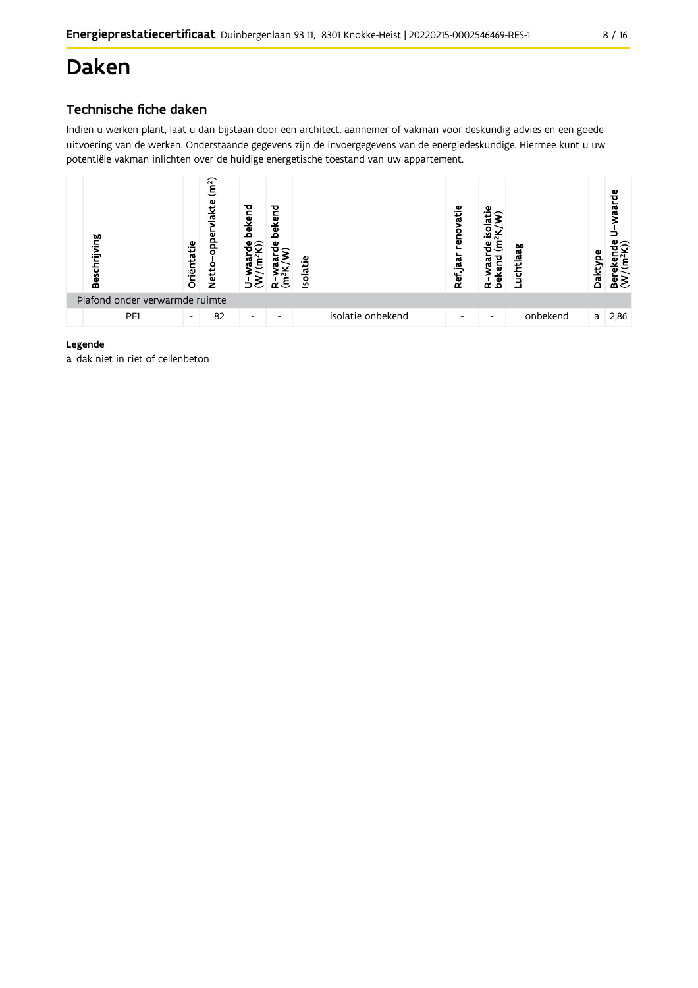## **Daken**

## Technische fiche daken

Indien u werken plant, laat u dan bijstaan door een architect, aannemer of vakman voor deskundig advies en een goede uitvoering van de werken. Onderstaande gegevens zijn de invoergegevens van de energiedeskundige. Hiermee kunt u uw potentiële vakman inlichten over de huidige energetische toestand van uw appartement.



#### Legende

a dak niet in riet of cellenbeton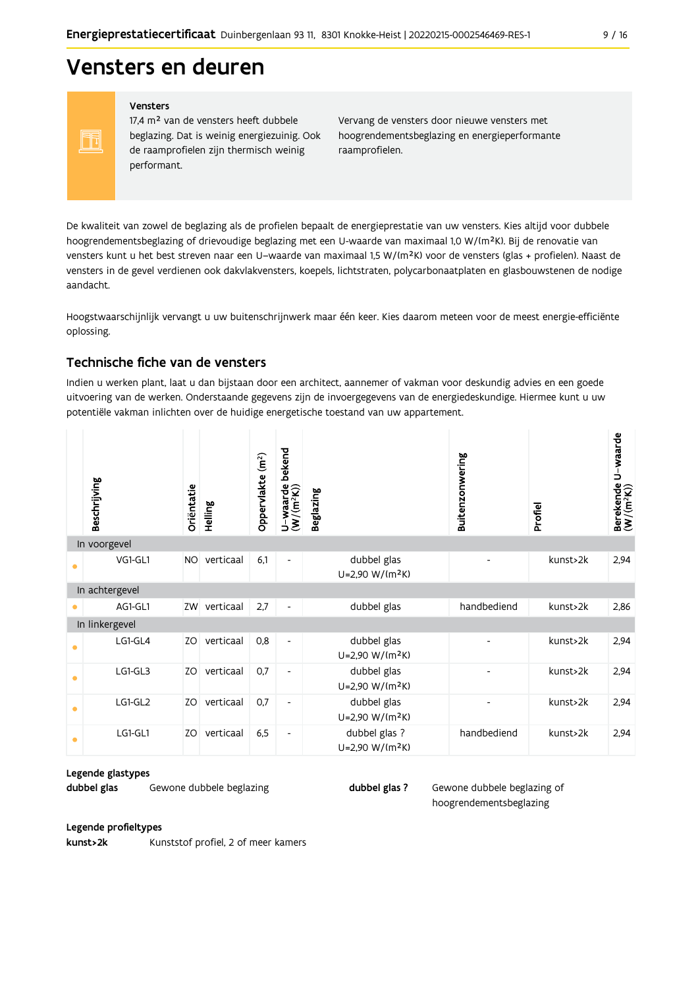## Vensters en deuren

#### Vensters

FF

17,4 m<sup>2</sup> van de vensters heeft dubbele beglazing. Dat is weinig energiezuinig. Ook de raamprofielen zijn thermisch weinig performant.

Vervang de vensters door nieuwe vensters met hoogrendementsbeglazing en energieperformante raamprofielen.

De kwaliteit van zowel de beglazing als de profielen bepaalt de energieprestatie van uw vensters. Kies altijd voor dubbele hoogrendementsbeglazing of drievoudige beglazing met een U-waarde van maximaal 1,0 W/(m<sup>2</sup>K). Bij de renovatie van vensters kunt u het best streven naar een U-waarde van maximaal 1,5 W/(m<sup>2</sup>K) voor de vensters (glas + profielen). Naast de vensters in de gevel verdienen ook dakvlakvensters, koepels, lichtstraten, polycarbonaatplaten en glasbouwstenen de nodige aandacht

Hoogstwaarschijnlijk vervangt u uw buitenschrijnwerk maar één keer. Kies daarom meteen voor de meest energie-efficiënte oplossing.

### Technische fiche van de vensters

Indien u werken plant, laat u dan bijstaan door een architect, aannemer of vakman voor deskundig advies en een goede uitvoering van de werken. Onderstaande gegevens zijn de invoergegevens van de energiedeskundige. Hiermee kunt u uw potentiële vakman inlichten over de huidige energetische toestand van uw appartement.

|           | Beschrijving   | Oriëntatie | Helling   | Oppervlakte (m <sup>2</sup> ) | bekend<br>$U$ –waarde l $(W/(m^2K))$ | <b>Beglazing</b>                             | Buitenzonwering | Profiel  | U-waarde<br>Berekende l<br>(W/(m <sup>2</sup> K)) |
|-----------|----------------|------------|-----------|-------------------------------|--------------------------------------|----------------------------------------------|-----------------|----------|---------------------------------------------------|
|           | In voorgevel   |            |           |                               |                                      |                                              |                 |          |                                                   |
|           | VG1-GL1        | <b>NO</b>  | verticaal | 6,1                           | $\overline{\phantom{a}}$             | dubbel glas<br>U=2,90 W/(m <sup>2</sup> K)   |                 | kunst>2k | 2,94                                              |
|           | In achtergevel |            |           |                               |                                      |                                              |                 |          |                                                   |
|           | AG1-GL1        | ZW         | verticaal | 2,7                           | $\overline{\phantom{a}}$             | dubbel glas                                  | handbediend     | kunst>2k | 2,86                                              |
|           | In linkergevel |            |           |                               |                                      |                                              |                 |          |                                                   |
| ٠         | LG1-GL4        | ZO         | verticaal | 0,8                           | $\overline{\phantom{a}}$             | dubbel glas<br>U=2,90 W/(m <sup>2</sup> K)   |                 | kunst>2k | 2,94                                              |
| $\bullet$ | LG1-GL3        | ZO         | verticaal | 0,7                           | $\overline{\phantom{a}}$             | dubbel glas<br>U=2,90 W/(m <sup>2</sup> K)   |                 | kunst>2k | 2,94                                              |
| $\bullet$ | LG1-GL2        | ZO         | verticaal | 0,7                           | $\overline{\phantom{a}}$             | dubbel glas<br>U=2,90 W/(m <sup>2</sup> K)   |                 | kunst>2k | 2,94                                              |
| $\bullet$ | LG1-GL1        | ZO         | verticaal | 6,5                           | $\overline{\phantom{a}}$             | dubbel glas ?<br>U=2,90 W/(m <sup>2</sup> K) | handbediend     | kunst>2k | 2,94                                              |

#### Legende glastypes

dubbel glas Gewone dubbele beglazing dubbel glas ?

Gewone dubbele beglazing of hoogrendementsbeglazing

#### Legende profieltypes

kunst>2k Kunststof profiel, 2 of meer kamers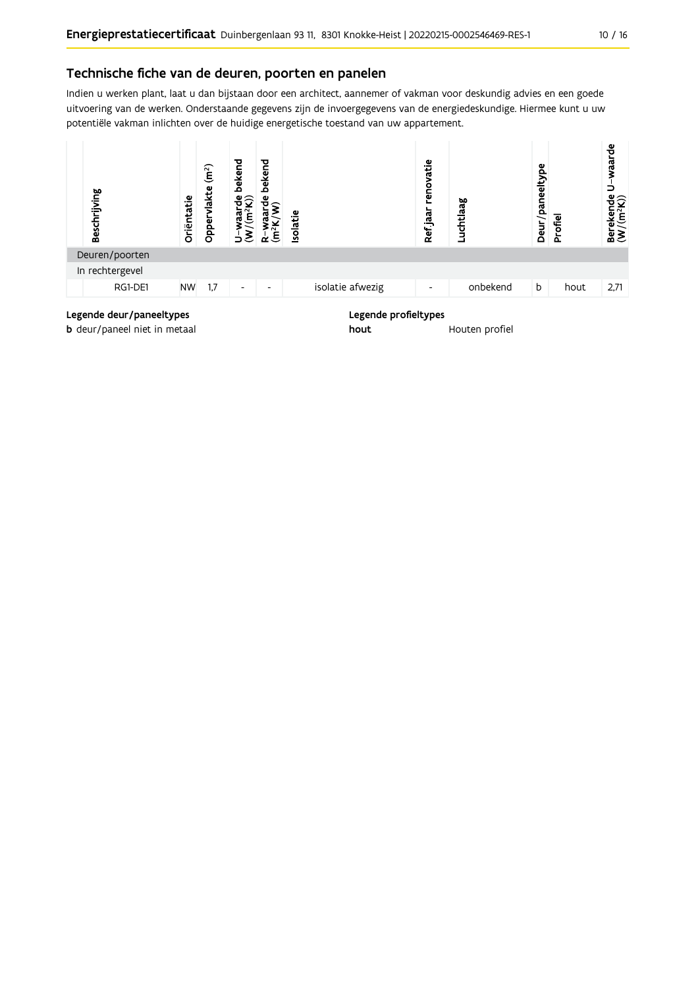### Technische fiche van de deuren, poorten en panelen

Indien u werken plant, laat u dan bijstaan door een architect, aannemer of vakman voor deskundig advies en een goede uitvoering van de werken. Onderstaande gegevens zijn de invoergegevens van de energiedeskundige. Hiermee kunt u uw potentiële vakman inlichten over de huidige energetische toestand van uw appartement.



**b** deur/paneel niet in metaal

Houten profiel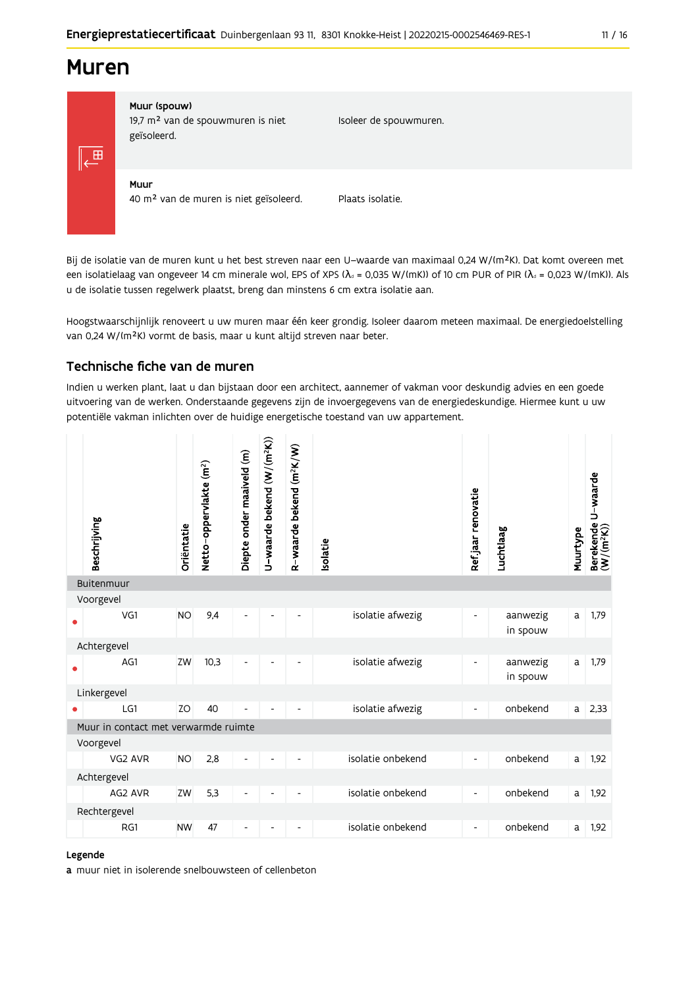## **Muren**



### Muur (spouw)

19,7 m<sup>2</sup> van de spouwmuren is niet geïsoleerd.

Isoleer de spouwmuren.

Muur 40 m<sup>2</sup> van de muren is niet geïsoleerd.

Plaats isolatie.

Bij de isolatie van de muren kunt u het best streven naar een U-waarde van maximaal 0,24 W/(m<sup>2</sup>K). Dat komt overeen met een isolatielaag van ongeveer 14 cm minerale wol, EPS of XPS ( $\lambda_a$  = 0,035 W/(mK)) of 10 cm PUR of PIR ( $\lambda_a$  = 0,023 W/(mK)). Als u de isolatie tussen regelwerk plaatst, breng dan minstens 6 cm extra isolatie aan.

Hoogstwaarschijnlijk renoveert u uw muren maar één keer grondig. Isoleer daarom meteen maximaal. De energiedoelstelling van 0,24 W/(m<sup>2</sup>K) vormt de basis, maar u kunt altijd streven naar beter.

### Technische fiche van de muren

Indien u werken plant, laat u dan bijstaan door een architect, aannemer of vakman voor deskundig advies en een goede uitvoering van de werken. Onderstaande gegevens zijn de invoergegevens van de energiedeskundige. Hiermee kunt u uw potentiële vakman inlichten over de huidige energetische toestand van uw appartement.



#### Legende

a muur niet in isolerende snelbouwsteen of cellenbeton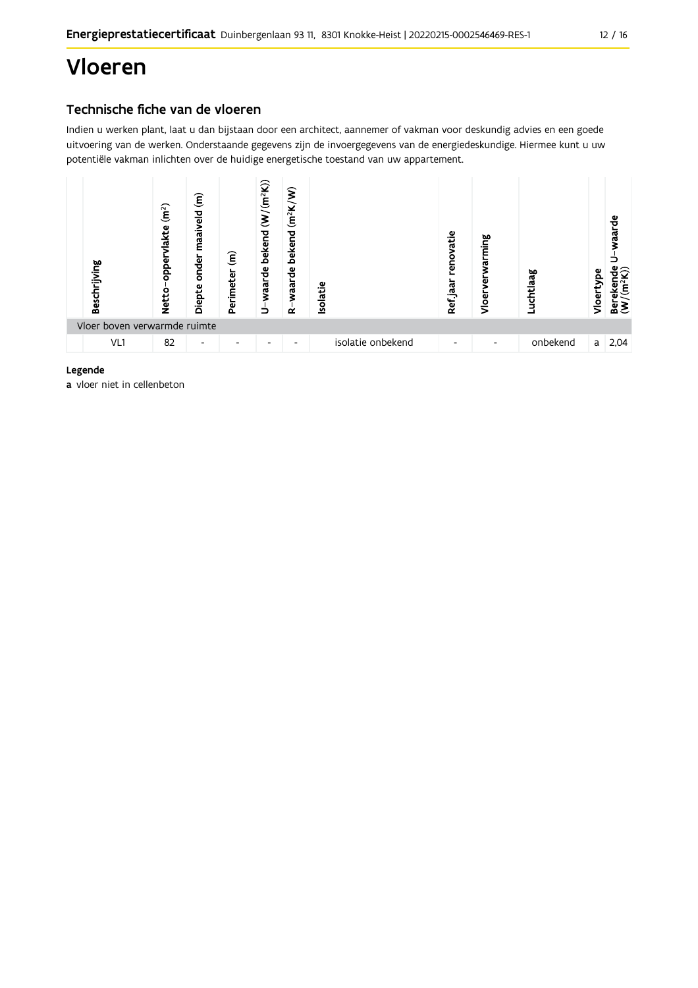## Vloeren

## Technische fiche van de vloeren

Indien u werken plant, laat u dan bijstaan door een architect, aannemer of vakman voor deskundig advies en een goede uitvoering van de werken. Onderstaande gegevens zijn de invoergegevens van de energiedeskundige. Hiermee kunt u uw potentiële vakman inlichten over de huidige energetische toestand van uw appartement.



#### Legende

a vloer niet in cellenbeton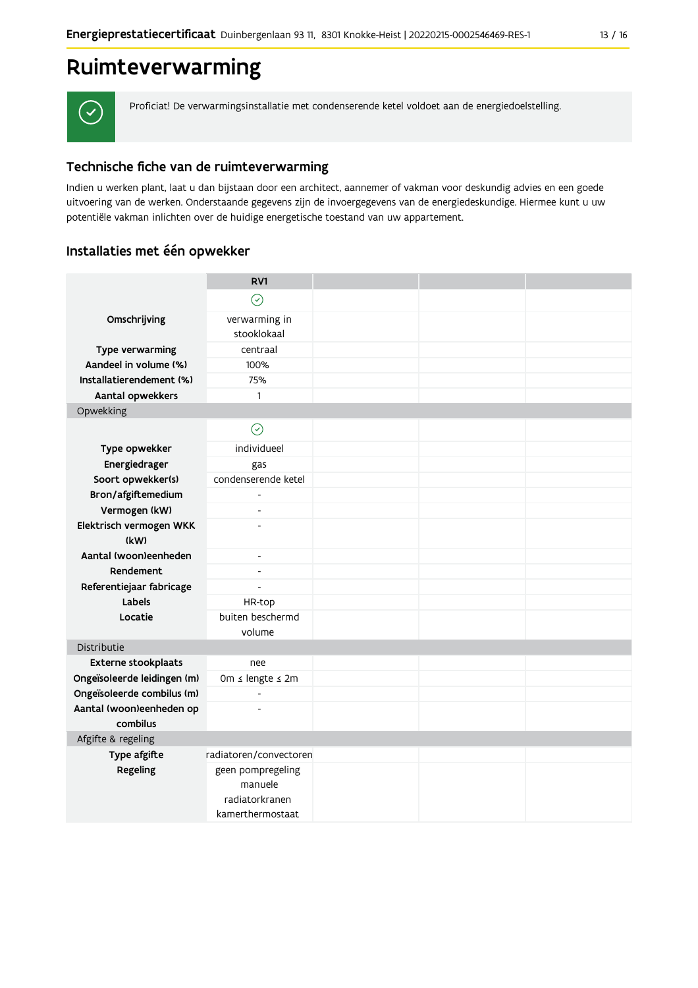## Ruimteverwarming



Proficiat! De verwarmingsinstallatie met condenserende ketel voldoet aan de energiedoelstelling.

## Technische fiche van de ruimteverwarming

Indien u werken plant, laat u dan bijstaan door een architect, aannemer of vakman voor deskundig advies en een goede uitvoering van de werken. Onderstaande gegevens zijn de invoergegevens van de energiedeskundige. Hiermee kunt u uw potentiële vakman inlichten over de huidige energetische toestand van uw appartement.

## Installaties met één opwekker

|                             | RV1                                                                |  |  |
|-----------------------------|--------------------------------------------------------------------|--|--|
|                             | $\odot$                                                            |  |  |
| Omschrijving                | verwarming in                                                      |  |  |
|                             | stooklokaal                                                        |  |  |
| Type verwarming             | centraal                                                           |  |  |
| Aandeel in volume (%)       | 100%                                                               |  |  |
| Installatierendement (%)    | 75%                                                                |  |  |
| Aantal opwekkers            | $\mathbf{1}$                                                       |  |  |
| Opwekking                   |                                                                    |  |  |
|                             | $\odot$                                                            |  |  |
| Type opwekker               | individueel                                                        |  |  |
| Energiedrager               | gas                                                                |  |  |
| Soort opwekker(s)           | condenserende ketel                                                |  |  |
| Bron/afgiftemedium          | $\overline{a}$                                                     |  |  |
| Vermogen (kW)               | $\overline{\phantom{a}}$                                           |  |  |
| Elektrisch vermogen WKK     | ٠                                                                  |  |  |
| (kW)                        |                                                                    |  |  |
| Aantal (woon)eenheden       | $\blacksquare$                                                     |  |  |
| Rendement                   | $\overline{\phantom{a}}$                                           |  |  |
| Referentiejaar fabricage    | $\overline{\phantom{0}}$                                           |  |  |
| Labels                      | HR-top                                                             |  |  |
| Locatie                     | buiten beschermd                                                   |  |  |
|                             | volume                                                             |  |  |
| Distributie                 |                                                                    |  |  |
| Externe stookplaats         | nee                                                                |  |  |
| Ongeïsoleerde leidingen (m) | 0m ≤ lengte ≤ 2m                                                   |  |  |
| Ongeïsoleerde combilus (m)  | $\overline{a}$                                                     |  |  |
| Aantal (woon)eenheden op    | $\overline{a}$                                                     |  |  |
| combilus                    |                                                                    |  |  |
| Afgifte & regeling          |                                                                    |  |  |
| Type afgifte                | radiatoren/convectoren                                             |  |  |
| Regeling                    | geen pompregeling<br>manuele<br>radiatorkranen<br>kamerthermostaat |  |  |
|                             |                                                                    |  |  |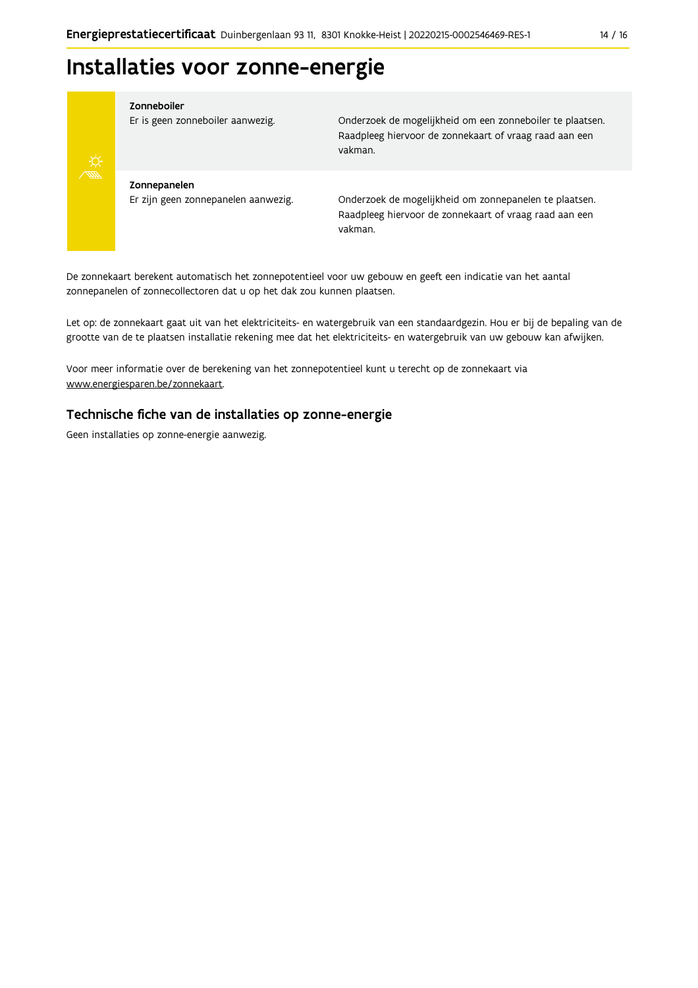## Installaties voor zonne-energie



#### Zonneboiler

Er is geen zonneboiler aanwezig.

Onderzoek de mogelijkheid om een zonneboiler te plaatsen. Raadpleeg hiervoor de zonnekaart of vraag raad aan een vakman.

Zonnepanelen Er zijn geen zonnepanelen aanwezig.

Onderzoek de mogelijkheid om zonnepanelen te plaatsen. Raadpleeg hiervoor de zonnekaart of vraag raad aan een vakman.

De zonnekaart berekent automatisch het zonnepotentieel voor uw gebouw en geeft een indicatie van het aantal zonnepanelen of zonnecollectoren dat u op het dak zou kunnen plaatsen.

Let op: de zonnekaart gaat uit van het elektriciteits- en watergebruik van een standaardgezin. Hou er bij de bepaling van de grootte van de te plaatsen installatie rekening mee dat het elektriciteits- en watergebruik van uw gebouw kan afwijken.

Voor meer informatie over de berekening van het zonnepotentieel kunt u terecht op de zonnekaart via www.energiesparen.be/zonnekaart.

### Technische fiche van de installaties op zonne-energie

Geen installaties op zonne-energie aanwezig.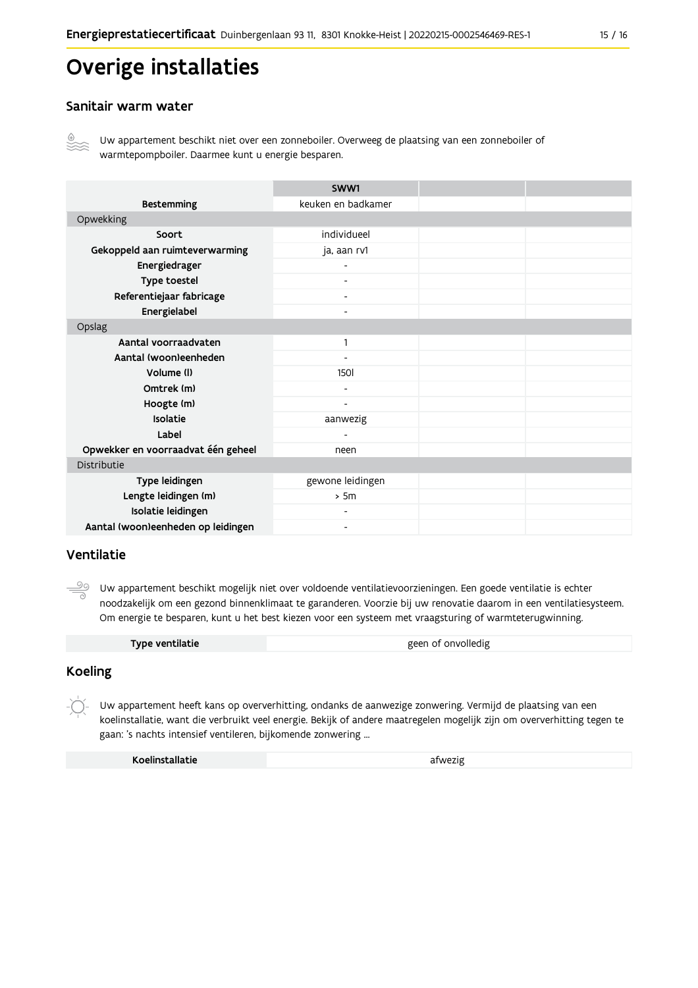## **Overige installaties**

### Sanitair warm water



Uw appartement beschikt niet over een zonneboiler. Overweeg de plaatsing van een zonneboiler of warmtepompboiler. Daarmee kunt u energie besparen.

|                                    | SWW1                         |  |
|------------------------------------|------------------------------|--|
| <b>Bestemming</b>                  | keuken en badkamer           |  |
| Opwekking                          |                              |  |
| Soort                              | individueel                  |  |
| Gekoppeld aan ruimteverwarming     | ja, aan rv1                  |  |
| Energiedrager                      |                              |  |
| Type toestel                       | Ξ.                           |  |
| Referentiejaar fabricage           | $\overline{\phantom{a}}$     |  |
| Energielabel                       | $\overline{\phantom{0}}$     |  |
| Opslag                             |                              |  |
| Aantal voorraadvaten               | 1                            |  |
| Aantal (woon)eenheden              |                              |  |
| Volume (I)                         | <b>150l</b>                  |  |
| Omtrek (m)                         | $\overline{\phantom{0}}$     |  |
| Hoogte (m)                         | $\qquad \qquad \blacksquare$ |  |
| Isolatie                           | aanwezig                     |  |
| Label                              |                              |  |
| Opwekker en voorraadvat één geheel | neen                         |  |
| Distributie                        |                              |  |
| Type leidingen                     | gewone leidingen             |  |
| Lengte leidingen (m)               | > 5m                         |  |
| Isolatie leidingen                 |                              |  |
| Aantal (woon)eenheden op leidingen | $\overline{\phantom{a}}$     |  |

### Ventilatie

Uw appartement beschikt mogelijk niet over voldoende ventilatievoorzieningen. Een goede ventilatie is echter noodzakelijk om een gezond binnenklimaat te garanderen. Voorzie bij uw renovatie daarom in een ventilatiesysteem. Om energie te besparen, kunt u het best kiezen voor een systeem met vraagsturing of warmteterugwinning.

| Type ventilatie | geen of onvolledig |
|-----------------|--------------------|

### **Koeling**

Uw appartement heeft kans op oververhitting, ondanks de aanwezige zonwering. Vermijd de plaatsing van een koelinstallatie, want die verbruikt veel energie. Bekijk of andere maatregelen mogelijk zijn om oververhitting tegen te gaan: 's nachts intensief ventileren, bijkomende zonwering ...

| Koelinstallatie | afwezig |
|-----------------|---------|
|                 |         |